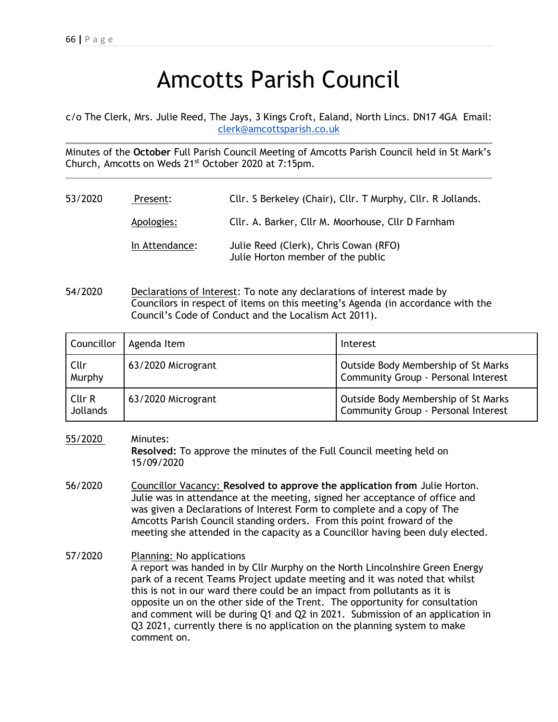## Amcotts Parish Council

c/o The Clerk, Mrs. Julie Reed, The Jays, 3 Kings Croft, Ealand, North Lincs. DN17 4GA Email: [clerk@amcottsparish.co.uk](mailto:clerk@amcottsparish.co.uk)

Minutes of the **October** Full Parish Council Meeting of Amcotts Parish Council held in St Mark's Church, Amcotts on Weds 21st October 2020 at 7:15pm.

- 53/2020 Present: Cllr. S Berkeley (Chair), Cllr. T Murphy, Cllr. R Jollands. Apologies: Cllr. A. Barker, Cllr M. Moorhouse, Cllr D Farnham In Attendance: Julie Reed (Clerk), Chris Cowan (RFO) Julie Horton member of the public
- 54/2020 Declarations of Interest: To note any declarations of interest made by Councilors in respect of items on this meeting's Agenda (in accordance with the Council's Code of Conduct and the Localism Act 2011).

| Councillor                | Agenda Item        | Interest                                                                   |
|---------------------------|--------------------|----------------------------------------------------------------------------|
| Cllr<br>Murphy            | 63/2020 Microgrant | Outside Body Membership of St Marks<br>Community Group - Personal Interest |
| Cllr R<br><b>Jollands</b> | 63/2020 Microgrant | Outside Body Membership of St Marks<br>Community Group - Personal Interest |

55/2020 Minutes:

**Resolved:** To approve the minutes of the Full Council meeting held on 15/09/2020

- 56/2020 Councillor Vacancy: **Resolved to approve the application from** Julie Horton. Julie was in attendance at the meeting, signed her acceptance of office and was given a Declarations of Interest Form to complete and a copy of The Amcotts Parish Council standing orders. From this point froward of the meeting she attended in the capacity as a Councillor having been duly elected.
- 57/2020 Planning: No applications A report was handed in by Cllr Murphy on the North Lincolnshire Green Energy park of a recent Teams Project update meeting and it was noted that whilst this is not in our ward there could be an impact from pollutants as it is opposite un on the other side of the Trent. The opportunity for consultation and comment will be during Q1 and Q2 in 2021. Submission of an application in Q3 2021, currently there is no application on the planning system to make comment on.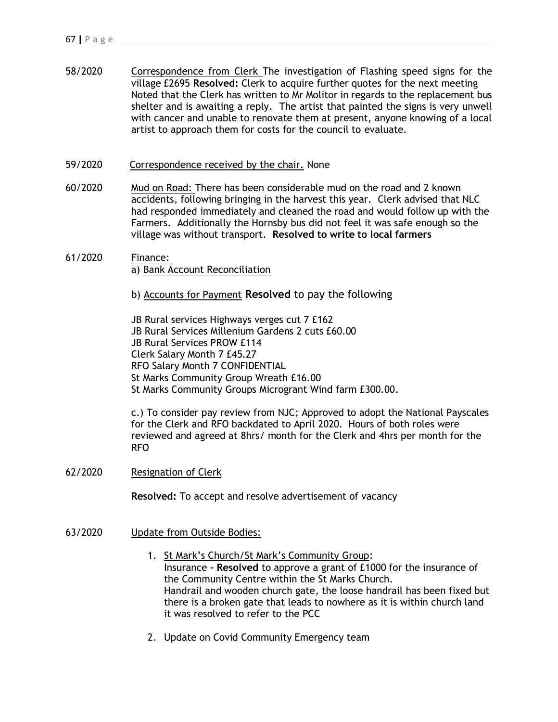- 58/2020 Correspondence from Clerk The investigation of Flashing speed signs for the village £2695 **Resolved:** Clerk to acquire further quotes for the next meeting Noted that the Clerk has written to Mr Molitor in regards to the replacement bus shelter and is awaiting a reply. The artist that painted the signs is very unwell with cancer and unable to renovate them at present, anyone knowing of a local artist to approach them for costs for the council to evaluate.
- 59/2020 Correspondence received by the chair. None
- 60/2020 Mud on Road: There has been considerable mud on the road and 2 known accidents, following bringing in the harvest this year. Clerk advised that NLC had responded immediately and cleaned the road and would follow up with the Farmers. Additionally the Hornsby bus did not feel it was safe enough so the village was without transport. **Resolved to write to local farmers**
- 61/2020 Finance: a) Bank Account Reconciliation
	- b) Accounts for Payment **Resolved** to pay the following

JB Rural services Highways verges cut 7 £162 JB Rural Services Millenium Gardens 2 cuts £60.00 JB Rural Services PROW £114 Clerk Salary Month 7 £45.27 RFO Salary Month 7 CONFIDENTIAL St Marks Community Group Wreath £16.00 St Marks Community Groups Microgrant Wind farm £300.00.

c.) To consider pay review from NJC; Approved to adopt the National Payscales for the Clerk and RFO backdated to April 2020. Hours of both roles were reviewed and agreed at 8hrs/ month for the Clerk and 4hrs per month for the RFO

62/2020 Resignation of Clerk

**Resolved:** To accept and resolve advertisement of vacancy

- 63/2020 Update from Outside Bodies:
	- 1. St Mark's Church/St Mark's Community Group: Insurance **– Resolved** to approve a grant of £1000 for the insurance of the Community Centre within the St Marks Church. Handrail and wooden church gate, the loose handrail has been fixed but there is a broken gate that leads to nowhere as it is within church land it was resolved to refer to the PCC
	- 2. Update on Covid Community Emergency team